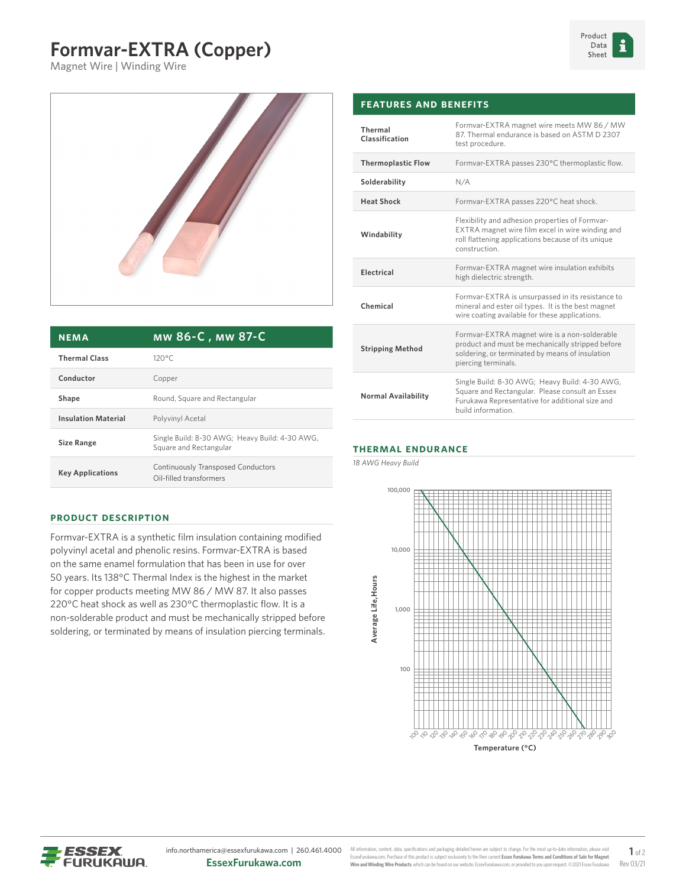## **Formvar-EXTRA (Copper)**

Magnet Wire | Winding Wire



| <b>NEMA</b>                | MW 86-C, MW 87-C                                                         |  |  |
|----------------------------|--------------------------------------------------------------------------|--|--|
| <b>Thermal Class</b>       | $120^{\circ}$ C                                                          |  |  |
| Conductor                  | Copper                                                                   |  |  |
| Shape                      | Round, Square and Rectangular                                            |  |  |
| <b>Insulation Material</b> | Polyvinyl Acetal                                                         |  |  |
| <b>Size Range</b>          | Single Build: 8-30 AWG; Heavy Build: 4-30 AWG,<br>Square and Rectangular |  |  |
| <b>Key Applications</b>    | Continuously Transposed Conductors<br>Oil-filled transformers            |  |  |

| Thermal<br>Classification | Formvar-EXTRA magnet wire meets MW 86 / MW<br>87. Thermal endurance is based on ASTM D 2307<br>test procedure.                                                             |  |  |
|---------------------------|----------------------------------------------------------------------------------------------------------------------------------------------------------------------------|--|--|
| <b>Thermoplastic Flow</b> | Formvar-EXTRA passes 230°C thermoplastic flow.                                                                                                                             |  |  |
| Solderability             | N/A                                                                                                                                                                        |  |  |
| <b>Heat Shock</b>         | Formvar-EXTRA passes 220°C heat shock.                                                                                                                                     |  |  |
| Windability               | Flexibility and adhesion properties of Formvar-<br>EXTRA magnet wire film excel in wire winding and<br>roll flattening applications because of its unique<br>construction. |  |  |
| Electrical                | Formvar-EXTRA magnet wire insulation exhibits<br>high dielectric strength.                                                                                                 |  |  |
| Chemical                  | Formvar-EXTRA is unsurpassed in its resistance to<br>mineral and ester oil types. It is the best magnet<br>wire coating available for these applications.                  |  |  |
| <b>Stripping Method</b>   | Formvar-EXTRA magnet wire is a non-solderable<br>product and must be mechanically stripped before<br>soldering, or terminated by means of insulation                       |  |  |

piercing terminals.

build information.

Single Build: 8-30 AWG; Heavy Build: 4-30 AWG, Square and Rectangular. Please consult an Essex Furukawa Representative for additional size and

## **Thermal Endurance**

**Features and Benefits**

*18 AWG Heavy Build*

**Normal Availability**



**Temperature (°C)** 

## **Product Description**

Formvar-EXTRA is a synthetic film insulation containing modified polyvinyl acetal and phenolic resins. Formvar-EXTRA is based on the same enamel formulation that has been in use for over 50 years. Its 138°C Thermal Index is the highest in the market for copper products meeting MW 86 / MW 87. It also passes 220°C heat shock as well as 230°C thermoplastic flow. It is a non-solderable product and must be mechanically stripped before soldering, or terminated by means of insulation piercing terminals.

ESSEX **FURUKAWA**  info.northamerica@essexfurukawa.com | 260.461.4000 **EssexFurukawa.com**

All information, content, data, specifications and packaging detailed herein are subject to change. For the most up-to-date information, ple EssexFurukawa.com. Purchase of this product is subject exclusively to the then current **Essex Furukawa Terms and Conditions of Sale for Magnet Wire and Winding Wire Products**, which can be found on our website, EssexFurukawa.com, or provided to you upon request. ©2021 Essex Furukawa